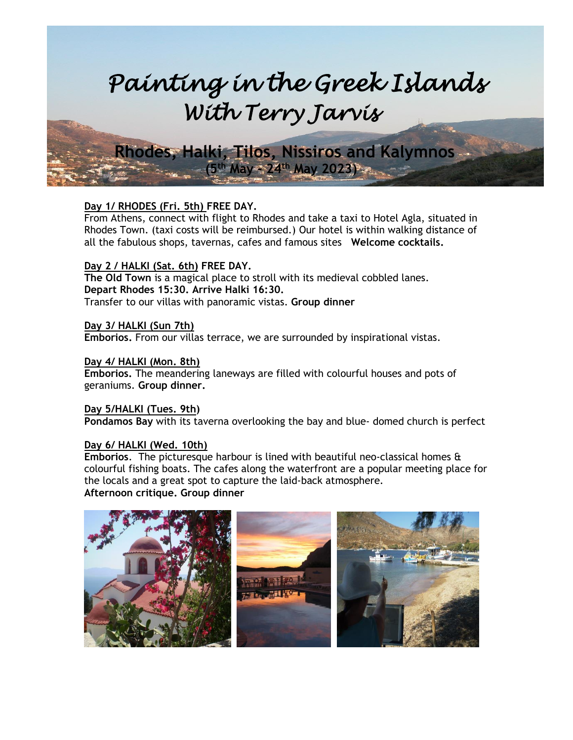# *Painting in the Greek Islands With Terry Jarvis*

 **Rhodes, Halki, Tilos, Nissiros and Kalymnos**

**Day 1/ RHODES (Fri. 5th) FREE DAY.**

 **(5 th May - 24th May 2023)**

From Athens, connect with flight to Rhodes and take a taxi to Hotel Agla, situated in Rhodes Town. (taxi costs will be reimbursed.) Our hotel is within walking distance of all the fabulous shops, tavernas, cafes and famous sites **Welcome cocktails.**

# **Day 2 / HALKI (Sat. 6th) FREE DAY.**

**The Old Town** is a magical place to stroll with its medieval cobbled lanes. **Depart Rhodes 15:30. Arrive Halki 16:30.** Transfer to our villas with panoramic vistas. **Group dinner**

# **Day 3/ HALKI (Sun 7th)**

**Emborios.** From our villas terrace, we are surrounded by inspirational vistas.

## **Day 4/ HALKI (Mon. 8th)**

**Emborios.** The meandering laneways are filled with colourful houses and pots of geraniums. **Group dinner.**

**Day 5/HALKI (Tues. 9th) Pondamos Bay** with its taverna overlooking the bay and blue- domed church is perfect

# **Day 6/ HALKI (Wed. 10th)**

**Emborios**. The picturesque harbour is lined with beautiful neo-classical homes & colourful fishing boats. The cafes along the waterfront are a popular meeting place for the locals and a great spot to capture the laid-back atmosphere. **Afternoon critique. Group dinner**

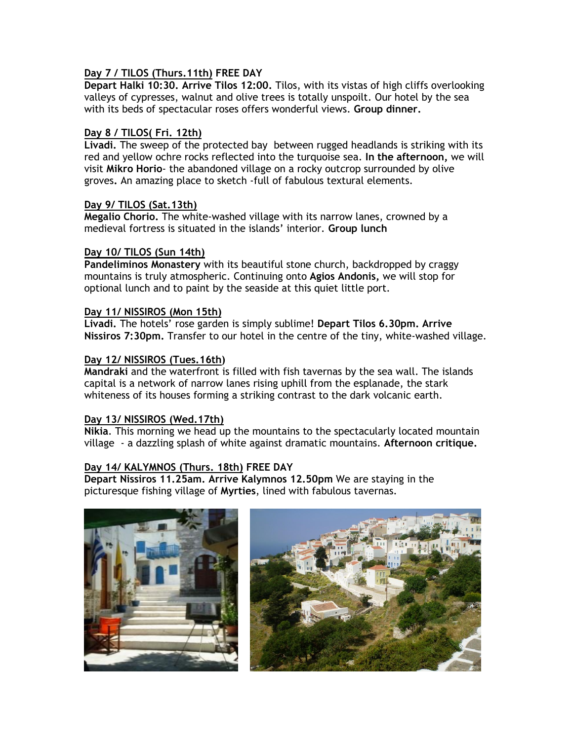# **Day 7 / TILOS (Thurs.11th) FREE DAY**

**Depart Halki 10:30. Arrive Tilos 12:00.** Tilos, with its vistas of high cliffs overlooking valleys of cypresses, walnut and olive trees is totally unspoilt. Our hotel by the sea with its beds of spectacular roses offers wonderful views. **Group dinner.**

#### **Day 8 / TILOS( Fri. 12th)**

**Livadi.** The sweep of the protected bay between rugged headlands is striking with its red and yellow ochre rocks reflected into the turquoise sea. **In the afternoon,** we will visit **Mikro Horio**- the abandoned village on a rocky outcrop surrounded by olive groves**.** An amazing place to sketch -full of fabulous textural elements.

#### **Day 9/ TILOS (Sat.13th)**

**Megalio Chorio.** The white-washed village with its narrow lanes, crowned by a medieval fortress is situated in the islands' interior. **Group lunch**

#### **Day 10/ TILOS (Sun 14th)**

**Pandeliminos Monastery** with its beautiful stone church, backdropped by craggy mountains is truly atmospheric. Continuing onto **Agios Andonis,** we will stop for optional lunch and to paint by the seaside at this quiet little port.

## **Day 11/ NISSIROS (Mon 15th)**

**Livadi.** The hotels' rose garden is simply sublime! **Depart Tilos 6.30pm. Arrive Nissiros 7:30pm.** Transfer to our hotel in the centre of the tiny, white-washed village.

## **Day 12/ NISSIROS (Tues.16th)**

**Mandraki** and the waterfront is filled with fish tavernas by the sea wall. The islands capital is a network of narrow lanes rising uphill from the esplanade, the stark whiteness of its houses forming a striking contrast to the dark volcanic earth.

#### **Day 13/ NISSIROS (Wed.17th)**

**Nikia**. This morning we head up the mountains to the spectacularly located mountain village - a dazzling splash of white against dramatic mountains. **Afternoon critique.**

# **Day 14/ KALYMNOS (Thurs. 18th) FREE DAY**

**Depart Nissiros 11.25am. Arrive Kalymnos 12.50pm** We are staying in the picturesque fishing village of **Myrties**, lined with fabulous tavernas.